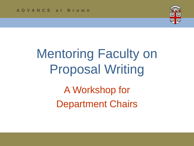

# Mentoring Faculty on Proposal Writing

A Workshop for Department Chairs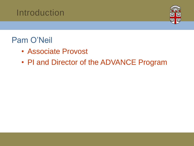

#### Pam O'Neil

- Associate Provost
- PI and Director of the ADVANCE Program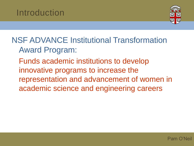

#### NSF ADVANCE Institutional Transformation Award Program:

Funds academic institutions to develop innovative programs to increase the representation and advancement of women in academic science and engineering careers

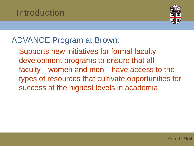

#### ADVANCE Program at Brown:

Supports new initiatives for formal faculty development programs to ensure that all faculty—women and men—have access to the types of resources that cultivate opportunities for success at the highest levels in academia

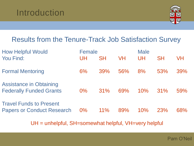

#### Results from the Tenure-Track Job Satisfaction Survey

| <b>How Helpful Would</b><br>You Find:                               | Female<br>UH. | <b>SH</b> | <b>VH</b> | <b>Male</b><br>UH | <b>SH</b> | VH  |
|---------------------------------------------------------------------|---------------|-----------|-----------|-------------------|-----------|-----|
| <b>Formal Mentoring</b>                                             | $6\%$         | 39%       | 56%       | 8%                | 53%       | 39% |
| <b>Assistance in Obtaining</b><br><b>Federally Funded Grants</b>    | $0\%$         | 31%       | 69%       | 10%               | 31%       | 59% |
| <b>Travel Funds to Present</b><br><b>Papers or Conduct Research</b> | $0\%$         | $11\%$    | 89%       | 10%               | 23%       | 68% |

UH = unhelpful, SH=somewhat helpful, VH=very helpful

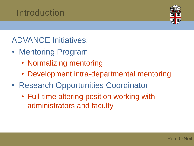

ADVANCE Initiatives:

- Mentoring Program
	- Normalizing mentoring
	- Development intra-departmental mentoring
- Research Opportunities Coordinator
	- Full-time altering position working with administrators and faculty

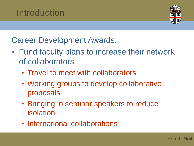

Career Development Awards:

- Fund faculty plans to increase their network of collaborators
	- Travel to meet with collaborators
	- Working groups to develop collaborative proposals
	- Bringing in seminar speakers to reduce isolation
	- International collaborations

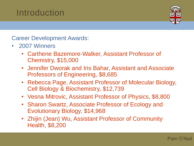

Career Development Awards:

- 2007 Winners
	- Carthene Bazemore-Walker, Assistant Professor of Chemistry, \$15,000
	- Jennifer Dworak and Iris Bahar, Assistant and Associate Professors of Engineering, \$8,685
	- Rebecca Page, Assistant Professor of Molecular Biology, Cell Biology & Biochemistry, \$12,739
	- Vesna Mitrovic, Assistant Professor of Physics, \$8,800
	- Sharon Swartz, Associate Professor of Ecology and Evolutionary Biology, \$14,968
	- Zhijin (Jean) Wu, Assistant Professor of Community Health, \$8,200

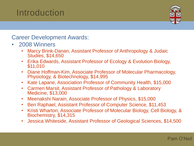

Career Development Awards:

- 2008 Winners
	- Marcy Brink-Danan, Assistant Professor of Anthropology & Judaic Studies, \$14,650
	- Erika Edwards, Assistant Professor of Ecology & Evolution Biology, \$11,010
	- Diane Hoffman-Kim, Associate Professor of Molecular Pharmacology, Physiology, & Biotechnology, \$14,995
	- Kate Lapane, Association Professor of Community Health, \$15,000
	- Carmen Marsit, Assistant Professor of Pathology & Laboratory Medicine, \$13,000
	- Meenakshi Narain, Associate Professor of Physics, \$15,000
	- Ben Raphael, Assistant Professor of Computer Science, \$11,453
	- Kristi Wharton, Associate Professor of Molecular Biology, Cell Biology, & Biochemistry, \$14,315
	- Jessica Whiteside, Assistant Professor of Geological Sciences, \$14,500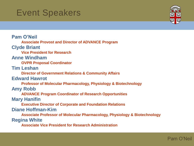#### Event Speakers



**Pam O'Neil Associate Provost and Director of ADVANCE Program Clyde Briant Vice President for Research Anne Windham OVPR Proposal Coordinator Tim Leshan Director of Government Relations & Community Affairs Edward Hawrot Professor of Molecular Pharmacology, Physiology & Biotechnology Amy Robb ADVANCE Program Coordinator of Research Opportunities Mary Hanifin Executive Director of Corporate and Foundation Relations Diane Hoffman-Kim Associate Professor of Molecular Pharmacology, Physiology & Biotechnology Regina White Associate Vice President for Research Administration**

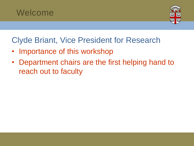



Clyde Briant, Vice President for Research

- Importance of this workshop
- Department chairs are the first helping hand to reach out to faculty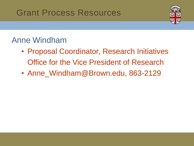

#### Anne Windham

- Proposal Coordinator, Research Initiatives Office for the Vice President of Research
- Anne\_Windham@Brown.edu, 863-2129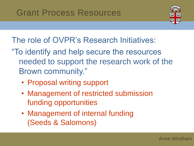

The role of OVPR's Research Initiatives:

- "To identify and help secure the resources needed to support the research work of the Brown community."
	- Proposal writing support
	- Management of restricted submission funding opportunities
	- Management of internal funding (Seeds & Salomons)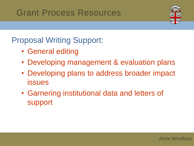

Proposal Writing Support:

- General editing
- Developing management & evaluation plans
- Developing plans to address broader impact issues
- Garnering institutional data and letters of support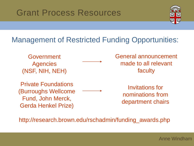

#### Management of Restricted Funding Opportunities:

Government **Agencies** (NSF, NIH, NEH)

Private Foundations (Burroughs Wellcome Fund, John Merck, Gerda Henkel Prize)

General announcement made to all relevant faculty

> Invitations for nominations from department chairs

http://research.brown.edu/rschadmin/funding\_awards.php

Anne Windham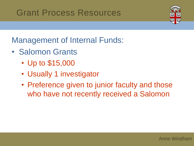

Management of Internal Funds:

- Salomon Grants
	- Up to \$15,000
	- Usually 1 investigator
	- Preference given to junior faculty and those who have not recently received a Salomon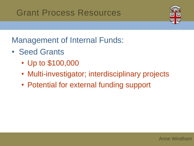

Management of Internal Funds:

- Seed Grants
	- Up to \$100,000
	- Multi-investigator; interdisciplinary projects
	- Potential for external funding support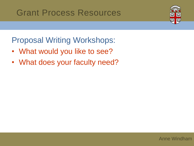

Proposal Writing Workshops:

- What would you like to see?
- What does your faculty need?

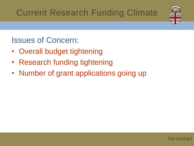

#### Issues of Concern:

- Overall budget tightening
- Research funding tightening
- Number of grant applications going up

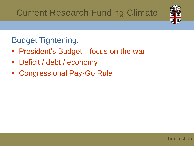

#### Budget Tightening:

- President's Budget—focus on the war
- Deficit / debt / economy
- Congressional Pay-Go Rule

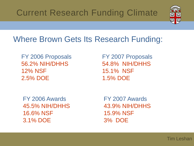

#### Where Brown Gets Its Research Funding:

FY 2006 Proposals 56.2% NIH/DHHS 12% NSF 2.5% DOE

FY 2007 Proposals 54.8% NIH/DHHS 15.1% NSF 1.5% DOE

FY 2006 Awards 45.5% NIH/DHHS 16.6% NSF 3.1% DOE

FY 2007 Awards 43.9% NIH/DHHS 15.9% NSF 3% DOE

Tim Leshan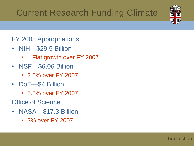#### FY 2008 Appropriations:

- NIH—\$29.5 Billion
	- Flat growth over FY 2007
- NSF—\$6.06 Billion
	- 2.5% over FY 2007
- DoE—\$4 Billion
	- 5.8% over FY 2007
- Office of Science
- NASA—\$17.3 Billion
	- 3% over FY 2007

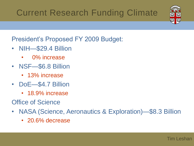

President's Proposed FY 2009 Budget:

- NIH—\$29.4 Billion
	- 0% increase
- NSF—\$6.8 Billion
	- 13% increase
- DoE—\$4.7 Billion
	- 18.9% increase
- Office of Science
- NASA (Science, Aeronautics & Exploration)—\$8.3 Billion
	- 20.6% decrease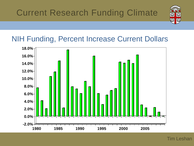

#### NIH Funding, Percent Increase Current Dollars



Tim Leshan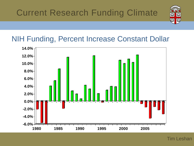

#### NIH Funding, Percent Increase Constant Dollar

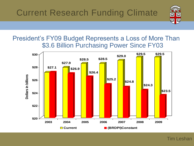

President's FY09 Budget Represents a Loss of More Than \$3.6 Billion Purchasing Power Since FY03



Tim Leshan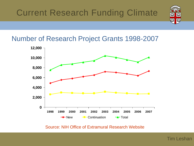

#### Number of Research Project Grants 1998-2007



Source: NIH Office of Extramural Research Website

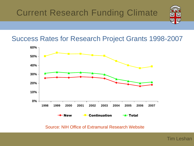

Success Rates for Research Project Grants 1998-2007



Source: NIH Office of Extramural Research Website

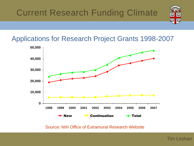

#### Applications for Research Project Grants 1998-2007



Source: NIH Office of Extramural Research Website

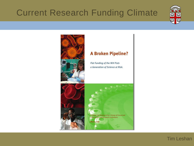



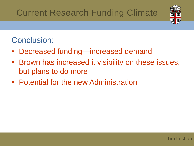

#### Conclusion:

- Decreased funding—increased demand
- Brown has increased it visibility on these issues, but plans to do more
- Potential for the new Administration

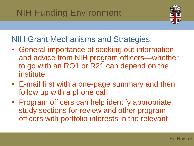### NIH Funding Environment



NIH Grant Mechanisms and Strategies:

- General importance of seeking out information and advice from NIH program officers—whether to go with an RO1 or R21 can depend on the institute
- E-mail first with a one-page summary and then follow up with a phone call
- Program officers can help identify appropriate study sections for review and other program officers with portfolio interests in the relevant

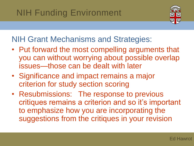### NIH Funding Environment



#### NIH Grant Mechanisms and Strategies:

- Put forward the most compelling arguments that you can without worrying about possible overlap issues—those can be dealt with later
- Significance and impact remains a major criterion for study section scoring
- Resubmissions: The response to previous critiques remains a criterion and so it's important to emphasize how you are incorporating the suggestions from the critiques in your revision

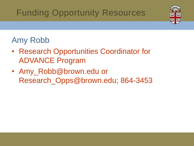### Funding Opportunity Resources



#### Amy Robb

- Research Opportunities Coordinator for ADVANCE Program
- Amy\_Robb@brown.edu or Research\_Opps@brown.edu; 864-3453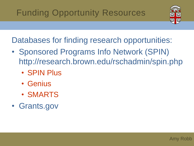

Databases for finding research opportunities:

- Sponsored Programs Info Network (SPIN) http://research.brown.edu/rschadmin/spin.php
	- SPIN Plus
	- Genius
	- SMARTS
- Grants.gov

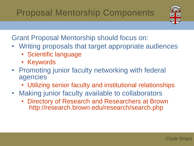### Proposal Mentorship Components



Grant Proposal Mentorship should focus on:

- Writing proposals that target appropriate audiences
	- Scientific language
	- Keywords
- Promoting junior faculty networking with federal agencies
	- Utilizing senior faculty and institutional relationships
- Making junior faculty available to collaborators
	- Directory of Research and Researchers at Brown http://research.brown.edu/research/search.php

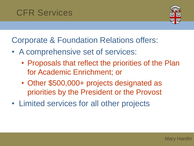#### CFR Services



Corporate & Foundation Relations offers:

- A comprehensive set of services:
	- Proposals that reflect the priorities of the Plan for Academic Enrichment; or
	- Other \$500,000+ projects designated as priorities by the President or the Provost
- Limited services for all other projects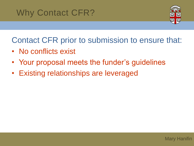#### Why Contact CFR?



Contact CFR prior to submission to ensure that:

- No conflicts exist
- Your proposal meets the funder's guidelines
- Existing relationships are leveraged

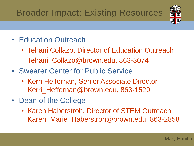## Broader Impact: Existing Resources



- Education Outreach
	- Tehani Collazo, Director of Education Outreach Tehani Collazo@brown.edu, 863-3074
- Swearer Center for Public Service
	- Kerri Heffernan, Senior Associate Director Kerri Heffernan@brown.edu, 863-1529
- Dean of the College
	- Karen Haberstroh, Director of STEM Outreach Karen Marie Haberstroh@brown.edu, 863-2858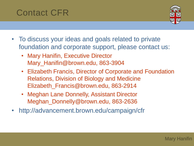#### Contact CFR



- To discuss your ideas and goals related to private foundation and corporate support, please contact us:
	- Mary Hanifin, Executive Director Mary\_Hanifin@brown.edu, 863-3904
	- Elizabeth Francis, Director of Corporate and Foundation Relations, Division of Biology and Medicine Elizabeth\_Francis@brown.edu, 863-2914
	- Meghan Lane Donnelly, Assistant Director Meghan\_Donnelly@brown.edu, 863-2636
- http://advancement.brown.edu/campaign/cfr

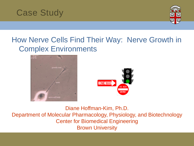



#### How Nerve Cells Find Their Way: Nerve Growth in Complex Environments





Diane Hoffman-Kim, Ph.D. Department of Molecular Pharmacology, Physiology, and Biotechnology Center for Biomedical Engineering Brown University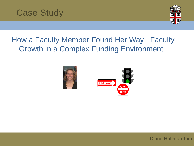



#### How a Faculty Member Found Her Way: Faculty Growth in a Complex Funding Environment





Diane Hoffman-Kim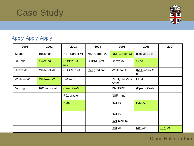

#### Apply, Apply, Apply

| 2001       | 2002           | 2003                   | 2004          | 2005                   | 2006                    | 2007   |
|------------|----------------|------------------------|---------------|------------------------|-------------------------|--------|
| Searle     | Beckman        | NSF Career #1          | NSF Career #2 | <b>NSF Career #3</b>   | (Reeve Co-I)            |        |
| RI Fndn    | <b>Salomon</b> | <b>COBRE GG</b><br>sub | COBRE prot    | Reeve #2               | <b>Seed</b>             |        |
| Reeve #1   | Whitehall #1   | COBRE prot             | R21 gradient  | Whitehall #2           | (NSF-nanoCo-<br>$\vert$ |        |
| Whitaker#1 | Whitaker #2    | Salomon                |               | Paralyzed Vets<br>Amer | <b>HHMI</b>             |        |
| McKnight   | R01 micropatt  | (Seed Co-I)            |               | <b>RI-INBRE</b>        | (Epscor Co-I)           |        |
|            |                | R01 gradient           |               | NSF-nano               |                         |        |
|            |                | Hood                   |               | R21#1                  | R21#3                   |        |
|            |                |                        |               | R21#2                  |                         |        |
|            |                |                        |               | R21 biomim             |                         |        |
|            |                |                        |               | R01 #1                 | R01 #2                  | R01 #3 |

#### Diane Hoffman-Kim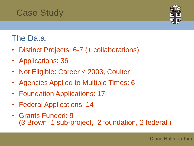

#### The Data:

- Distinct Projects: 6-7 (+ collaborations)
- Applications: 36
- Not Eligible: Career < 2003, Coulter
- Agencies Applied to Multiple Times: 6
- Foundation Applications: 17
- Federal Applications: 14
- Grants Funded: 9 (3 Brown, 1 sub-project, 2 foundation, 2 federal,)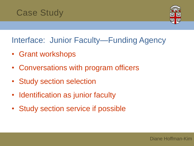

#### Interface: Junior Faculty—Funding Agency

- Grant workshops
- Conversations with program officers
- Study section selection
- Identification as junior faculty
- Study section service if possible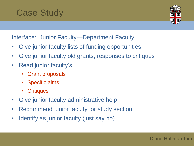

Interface: Junior Faculty—Department Faculty

- Give junior faculty lists of funding opportunities
- Give junior faculty old grants, responses to critiques
- Read junior faculty's
	- **Grant proposals**
	- Specific aims
	- Critiques
- Give junior faculty administrative help
- Recommend junior faculty for study section
- Identify as junior faculty (just say no)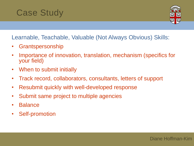

Learnable, Teachable, Valuable (Not Always Obvious) Skills:

- Grantspersonship
- Importance of innovation, translation, mechanism (specifics for your field)
- When to submit initially
- Track record, collaborators, consultants, letters of support
- Resubmit quickly with well-developed response
- Submit same project to multiple agencies
- **Balance**
- Self-promotion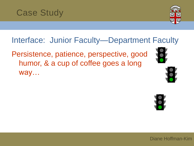

Interface: Junior Faculty—Department Faculty

Persistence, patience, perspective, good humor, & a cup of coffee goes a long way…





Diane Hoffman-Kim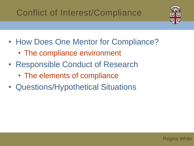### Conflict of Interest/Compliance



- How Does One Mentor for Compliance?
	- The compliance environment
- Responsible Conduct of Research
	- The elements of compliance
- Questions/Hypothetical Situations